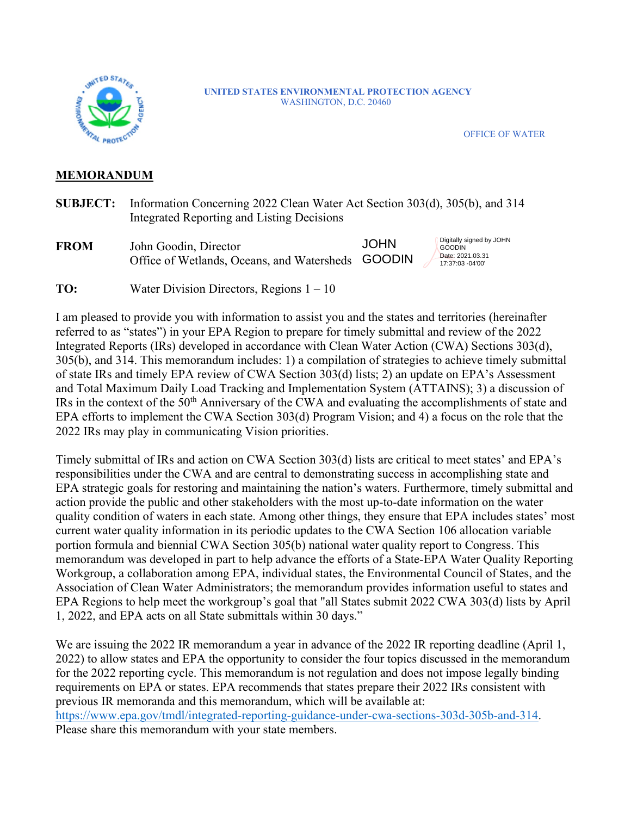

#### **UNITED STATES ENVIRONMENTAL PROTECTION AGENCY** WASHINGTON, D.C. 20460

OFFICE OF WATER

#### **MEMORANDUM**

- **SUBJECT:** Information Concerning 2022 Clean Water Act Section 303(d), 305(b), and 314 Integrated Reporting and Listing Decisions
- **FROM** John Goodin, Director Office of Wetlands, Oceans, and Watersheds GOODIN **JOHN**

Digitally signed by JOHN **GOODIN** Date: 2021.03.31 17:37:03 -04'00'

**TO:** Water Division Directors, Regions  $1 - 10$ 

I am pleased to provide you with information to assist you and the states and territories (hereinafter referred to as "states") in your EPA Region to prepare for timely submittal and review of the 2022 Integrated Reports (IRs) developed in accordance with Clean Water Action (CWA) Sections 303(d), 305(b), and 314. This memorandum includes: 1) a compilation of strategies to achieve timely submittal of state IRs and timely EPA review of CWA Section 303(d) lists; 2) an update on EPA's Assessment and Total Maximum Daily Load Tracking and Implementation System (ATTAINS); 3) a discussion of IRs in the context of the 50th Anniversary of the CWA and evaluating the accomplishments of state and EPA efforts to implement the CWA Section 303(d) Program Vision; and 4) a focus on the role that the 2022 IRs may play in communicating Vision priorities.

Timely submittal of IRs and action on CWA Section 303(d) lists are critical to meet states' and EPA's responsibilities under the CWA and are central to demonstrating success in accomplishing state and EPA strategic goals for restoring and maintaining the nation's waters. Furthermore, timely submittal and action provide the public and other stakeholders with the most up-to-date information on the water quality condition of waters in each state. Among other things, they ensure that EPA includes states' most current water quality information in its periodic updates to the CWA Section 106 allocation variable portion formula and biennial CWA Section 305(b) national water quality report to Congress. This memorandum was developed in part to help advance the efforts of a State-EPA Water Quality Reporting Workgroup, a collaboration among EPA, individual states, the Environmental Council of States, and the Association of Clean Water Administrators; the memorandum provides information useful to states and EPA Regions to help meet the workgroup's goal that "all States submit 2022 CWA 303(d) lists by April 1, 2022, and EPA acts on all State submittals within 30 days."

We are issuing the 2022 IR memorandum a year in advance of the 2022 IR reporting deadline (April 1, 2022) to allow states and EPA the opportunity to consider the four topics discussed in the memorandum for the 2022 reporting cycle. This memorandum is not regulation and does not impose legally binding requirements on EPA or states. EPA recommends that states prepare their 2022 IRs consistent with previous IR memoranda and this memorandum, which will be available at: [https://www.epa.gov/tmdl/integrated-reporting-guidance-under-cwa-sections-303d-305b-and-314.](https://www.epa.gov/tmdl/integrated-reporting-guidance-under-cwa-sections-303d-305b-and-314) Please share this memorandum with your state members.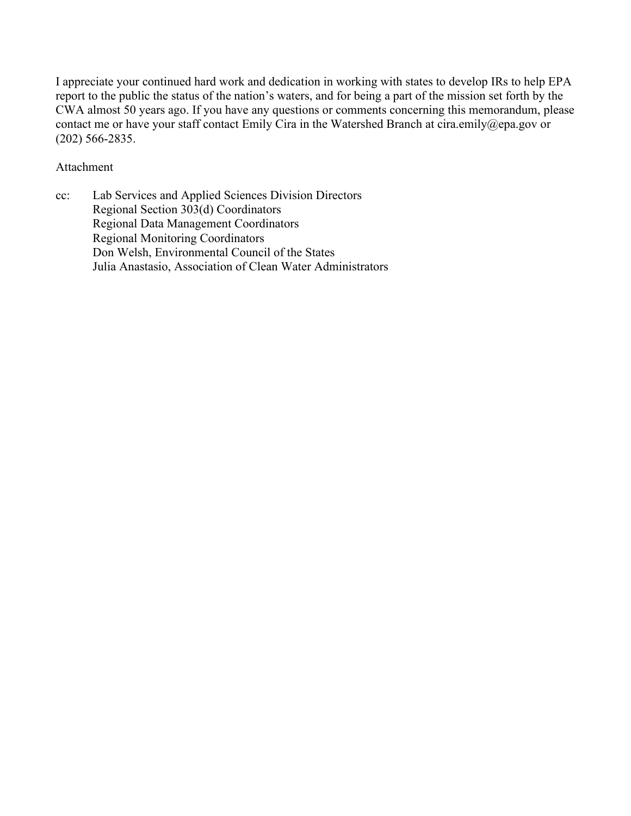I appreciate your continued hard work and dedication in working with states to develop IRs to help EPA report to the public the status of the nation's waters, and for being a part of the mission set forth by the CWA almost 50 years ago. If you have any questions or comments concerning this memorandum, please contact me or have your staff contact Emily Cira in the Watershed Branch at cira.emily@epa.gov or (202) 566-2835.

#### Attachment

cc: Lab Services and Applied Sciences Division Directors Regional Section 303(d) Coordinators Regional Data Management Coordinators Regional Monitoring Coordinators Don Welsh, Environmental Council of the States Julia Anastasio, Association of Clean Water Administrators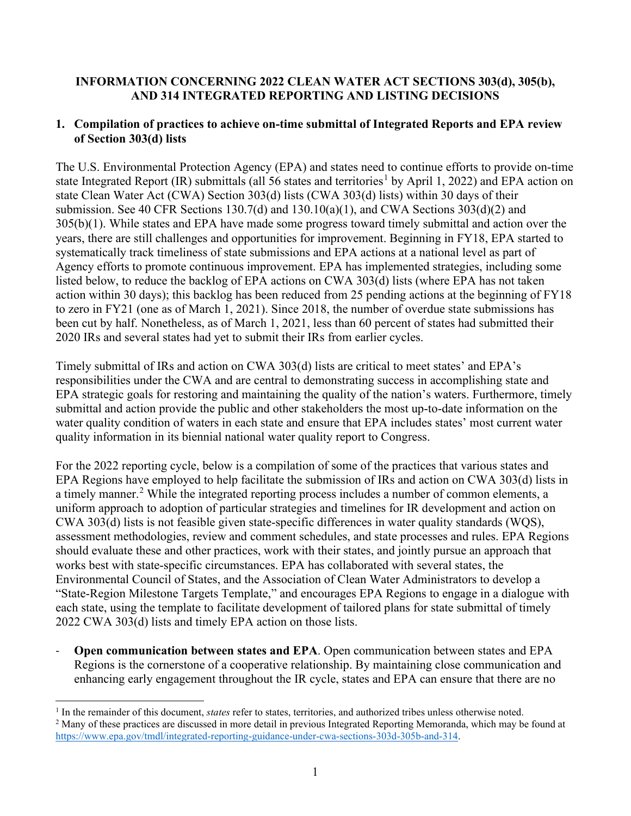### **INFORMATION CONCERNING 2022 CLEAN WATER ACT SECTIONS 303(d), 305(b), AND 314 INTEGRATED REPORTING AND LISTING DECISIONS**

#### **1. Compilation of practices to achieve on-time submittal of Integrated Reports and EPA review of Section 303(d) lists**

The U.S. Environmental Protection Agency (EPA) and states need to continue efforts to provide on-time state Integrated Report (IR) submittals (all 56 states and territories<sup>[1](#page-2-0)</sup> by April 1, 2022) and EPA action on state Clean Water Act (CWA) Section 303(d) lists (CWA 303(d) lists) within 30 days of their submission. See 40 CFR Sections 130.7(d) and 130.10(a)(1), and CWA Sections 303(d)(2) and 305(b)(1). While states and EPA have made some progress toward timely submittal and action over the years, there are still challenges and opportunities for improvement. Beginning in FY18, EPA started to systematically track timeliness of state submissions and EPA actions at a national level as part of Agency efforts to promote continuous improvement. EPA has implemented strategies, including some listed below, to reduce the backlog of EPA actions on CWA 303(d) lists (where EPA has not taken action within 30 days); this backlog has been reduced from 25 pending actions at the beginning of FY18 to zero in FY21 (one as of March 1, 2021). Since 2018, the number of overdue state submissions has been cut by half. Nonetheless, as of March 1, 2021, less than 60 percent of states had submitted their 2020 IRs and several states had yet to submit their IRs from earlier cycles.

Timely submittal of IRs and action on CWA 303(d) lists are critical to meet states' and EPA's responsibilities under the CWA and are central to demonstrating success in accomplishing state and EPA strategic goals for restoring and maintaining the quality of the nation's waters. Furthermore, timely submittal and action provide the public and other stakeholders the most up-to-date information on the water quality condition of waters in each state and ensure that EPA includes states' most current water quality information in its biennial national water quality report to Congress.

For the 2022 reporting cycle, below is a compilation of some of the practices that various states and EPA Regions have employed to help facilitate the submission of IRs and action on CWA 303(d) lists in a timely manner.<sup>[2](#page-2-1)</sup> While the integrated reporting process includes a number of common elements, a uniform approach to adoption of particular strategies and timelines for IR development and action on CWA 303(d) lists is not feasible given state-specific differences in water quality standards (WQS), assessment methodologies, review and comment schedules, and state processes and rules. EPA Regions should evaluate these and other practices, work with their states, and jointly pursue an approach that works best with state-specific circumstances. EPA has collaborated with several states, the Environmental Council of States, and the Association of Clean Water Administrators to develop a "State-Region Milestone Targets Template," and encourages EPA Regions to engage in a dialogue with each state, using the template to facilitate development of tailored plans for state submittal of timely 2022 CWA 303(d) lists and timely EPA action on those lists.

**Open communication between states and EPA**. Open communication between states and EPA Regions is the cornerstone of a cooperative relationship. By maintaining close communication and enhancing early engagement throughout the IR cycle, states and EPA can ensure that there are no

<span id="page-2-0"></span><sup>&</sup>lt;sup>1</sup> In the remainder of this document, *states* refer to states, territories, and authorized tribes unless otherwise noted.

<span id="page-2-1"></span><sup>&</sup>lt;sup>2</sup> Many of these practices are discussed in more detail in previous Integrated Reporting Memoranda, which may be found at [https://www.epa.gov/tmdl/integrated-reporting-guidance-under-cwa-sections-303d-305b-and-314.](https://www.epa.gov/tmdl/integrated-reporting-guidance-under-cwa-sections-303d-305b-and-314)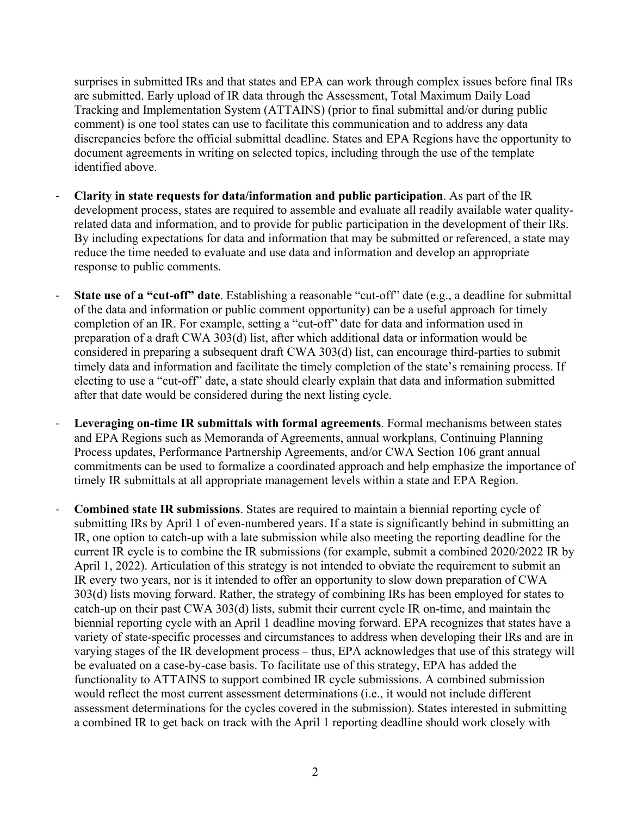surprises in submitted IRs and that states and EPA can work through complex issues before final IRs are submitted. Early upload of IR data through the Assessment, Total Maximum Daily Load Tracking and Implementation System (ATTAINS) (prior to final submittal and/or during public comment) is one tool states can use to facilitate this communication and to address any data discrepancies before the official submittal deadline. States and EPA Regions have the opportunity to document agreements in writing on selected topics, including through the use of the template identified above.

- **Clarity in state requests for data/information and public participation**. As part of the IR development process, states are required to assemble and evaluate all readily available water qualityrelated data and information, and to provide for public participation in the development of their IRs. By including expectations for data and information that may be submitted or referenced, a state may reduce the time needed to evaluate and use data and information and develop an appropriate response to public comments.
- **State use of a "cut-off" date**. Establishing a reasonable "cut-off" date (e.g., a deadline for submittal of the data and information or public comment opportunity) can be a useful approach for timely completion of an IR. For example, setting a "cut-off" date for data and information used in preparation of a draft CWA 303(d) list, after which additional data or information would be considered in preparing a subsequent draft CWA 303(d) list, can encourage third-parties to submit timely data and information and facilitate the timely completion of the state's remaining process. If electing to use a "cut-off" date, a state should clearly explain that data and information submitted after that date would be considered during the next listing cycle.
- Leveraging on-time IR submittals with formal agreements. Formal mechanisms between states and EPA Regions such as Memoranda of Agreements, annual workplans, Continuing Planning Process updates, Performance Partnership Agreements, and/or CWA Section 106 grant annual commitments can be used to formalize a coordinated approach and help emphasize the importance of timely IR submittals at all appropriate management levels within a state and EPA Region.
- **Combined state IR submissions**. States are required to maintain a biennial reporting cycle of submitting IRs by April 1 of even-numbered years. If a state is significantly behind in submitting an IR, one option to catch-up with a late submission while also meeting the reporting deadline for the current IR cycle is to combine the IR submissions (for example, submit a combined 2020/2022 IR by April 1, 2022). Articulation of this strategy is not intended to obviate the requirement to submit an IR every two years, nor is it intended to offer an opportunity to slow down preparation of CWA 303(d) lists moving forward. Rather, the strategy of combining IRs has been employed for states to catch-up on their past CWA 303(d) lists, submit their current cycle IR on-time, and maintain the biennial reporting cycle with an April 1 deadline moving forward. EPA recognizes that states have a variety of state-specific processes and circumstances to address when developing their IRs and are in varying stages of the IR development process – thus, EPA acknowledges that use of this strategy will be evaluated on a case-by-case basis. To facilitate use of this strategy, EPA has added the functionality to ATTAINS to support combined IR cycle submissions. A combined submission would reflect the most current assessment determinations (i.e., it would not include different assessment determinations for the cycles covered in the submission). States interested in submitting a combined IR to get back on track with the April 1 reporting deadline should work closely with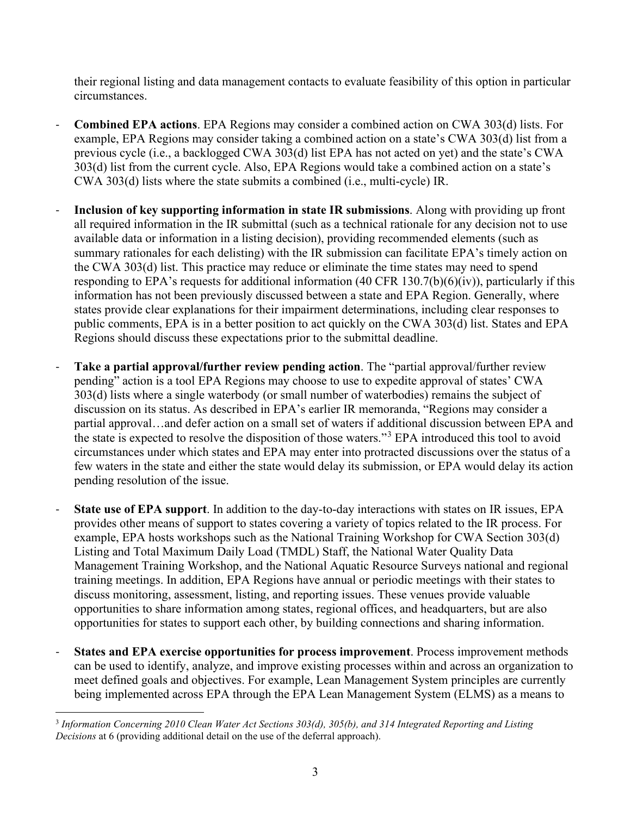their regional listing and data management contacts to evaluate feasibility of this option in particular circumstances.

- **Combined EPA actions**. EPA Regions may consider a combined action on CWA 303(d) lists. For example, EPA Regions may consider taking a combined action on a state's CWA 303(d) list from a previous cycle (i.e., a backlogged CWA 303(d) list EPA has not acted on yet) and the state's CWA 303(d) list from the current cycle. Also, EPA Regions would take a combined action on a state's CWA 303(d) lists where the state submits a combined (i.e., multi-cycle) IR.
- **Inclusion of key supporting information in state IR submissions**. Along with providing up front all required information in the IR submittal (such as a technical rationale for any decision not to use available data or information in a listing decision), providing recommended elements (such as summary rationales for each delisting) with the IR submission can facilitate EPA's timely action on the CWA 303(d) list. This practice may reduce or eliminate the time states may need to spend responding to EPA's requests for additional information (40 CFR 130.7(b)(6)(iv)), particularly if this information has not been previously discussed between a state and EPA Region. Generally, where states provide clear explanations for their impairment determinations, including clear responses to public comments, EPA is in a better position to act quickly on the CWA 303(d) list. States and EPA Regions should discuss these expectations prior to the submittal deadline.
- **Take a partial approval/further review pending action**. The "partial approval/further review pending" action is a tool EPA Regions may choose to use to expedite approval of states' CWA 303(d) lists where a single waterbody (or small number of waterbodies) remains the subject of discussion on its status. As described in EPA's earlier IR memoranda, "Regions may consider a partial approval…and defer action on a small set of waters if additional discussion between EPA and the state is expected to resolve the disposition of those waters."[3](#page-4-0) EPA introduced this tool to avoid circumstances under which states and EPA may enter into protracted discussions over the status of a few waters in the state and either the state would delay its submission, or EPA would delay its action pending resolution of the issue.
- **State use of EPA support**. In addition to the day-to-day interactions with states on IR issues, EPA provides other means of support to states covering a variety of topics related to the IR process. For example, EPA hosts workshops such as the National Training Workshop for CWA Section 303(d) Listing and Total Maximum Daily Load (TMDL) Staff, the National Water Quality Data Management Training Workshop, and the National Aquatic Resource Surveys national and regional training meetings. In addition, EPA Regions have annual or periodic meetings with their states to discuss monitoring, assessment, listing, and reporting issues. These venues provide valuable opportunities to share information among states, regional offices, and headquarters, but are also opportunities for states to support each other, by building connections and sharing information.
- **States and EPA exercise opportunities for process improvement**. Process improvement methods can be used to identify, analyze, and improve existing processes within and across an organization to meet defined goals and objectives. For example, Lean Management System principles are currently being implemented across EPA through the EPA Lean Management System (ELMS) as a means to

<span id="page-4-0"></span><sup>3</sup> *Information Concerning 2010 Clean Water Act Sections 303(d), 305(b), and 314 Integrated Reporting and Listing Decisions* at 6 (providing additional detail on the use of the deferral approach).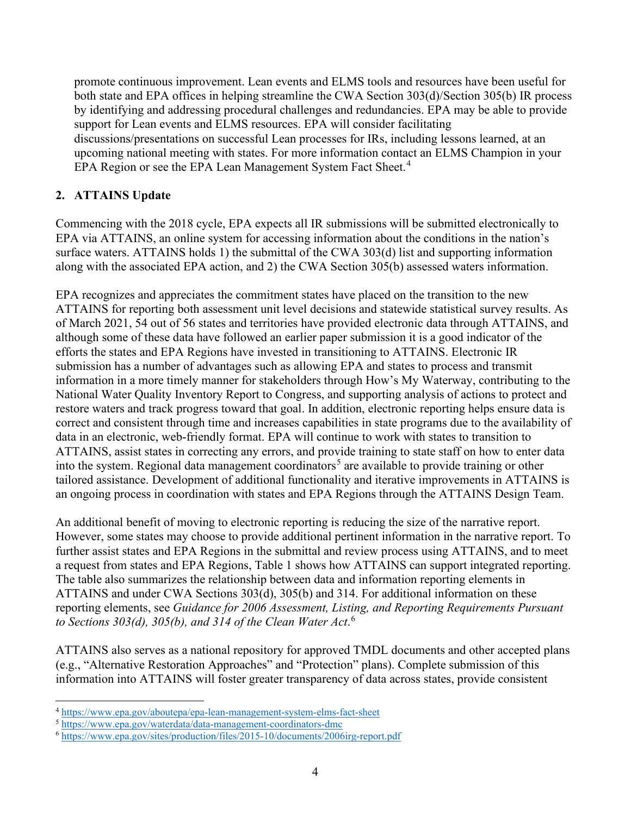promote continuous improvement. Lean events and ELMS tools and resources have been useful for both state and EPA offices in helping streamline the CWA Section 303(d)/Section 305(b) IR process by identifying and addressing procedural challenges and redundancies. EPA may be able to provide support for Lean events and ELMS resources. EPA will consider facilitating discussions/presentations on successful Lean processes for IRs, including lessons learned, at an upcoming national meeting with states. For more information contact an ELMS Champion in your EPA Region or see the EPA Lean Management System Fact Sheet.<sup>[4](#page-5-0)</sup>

### **2. ATTAINS Update**

Commencing with the 2018 cycle, EPA expects all IR submissions will be submitted electronically to EPA via ATTAINS, an online system for accessing information about the conditions in the nation's surface waters. ATTAINS holds 1) the submittal of the CWA 303(d) list and supporting information along with the associated EPA action, and 2) the CWA Section 305(b) assessed waters information.

EPA recognizes and appreciates the commitment states have placed on the transition to the new ATTAINS for reporting both assessment unit level decisions and statewide statistical survey results. As of March 2021, 54 out of 56 states and territories have provided electronic data through ATTAINS, and although some of these data have followed an earlier paper submission it is a good indicator of the efforts the states and EPA Regions have invested in transitioning to ATTAINS. Electronic IR submission has a number of advantages such as allowing EPA and states to process and transmit information in a more timely manner for stakeholders through How's My Waterway, contributing to the National Water Quality Inventory Report to Congress, and supporting analysis of actions to protect and restore waters and track progress toward that goal. In addition, electronic reporting helps ensure data is correct and consistent through time and increases capabilities in state programs due to the availability of data in an electronic, web-friendly format. EPA will continue to work with states to transition to ATTAINS, assist states in correcting any errors, and provide training to state staff on how to enter data into the system. Regional data management coordinators<sup>[5](#page-5-1)</sup> are available to provide training or other tailored assistance. Development of additional functionality and iterative improvements in ATTAINS is an ongoing process in coordination with states and EPA Regions through the ATTAINS Design Team.

An additional benefit of moving to electronic reporting is reducing the size of the narrative report. However, some states may choose to provide additional pertinent information in the narrative report. To further assist states and EPA Regions in the submittal and review process using ATTAINS, and to meet a request from states and EPA Regions, Table 1 shows how ATTAINS can support integrated reporting. The table also summarizes the relationship between data and information reporting elements in ATTAINS and under CWA Sections 303(d), 305(b) and 314. For additional information on these reporting elements, see *Guidance for 2006 Assessment, Listing, and Reporting Requirements Pursuant to Sections 303(d), 305(b), and 314 of the Clean Water Act*. [6](#page-5-2)

ATTAINS also serves as a national repository for approved TMDL documents and other accepted plans (e.g., "Alternative Restoration Approaches" and "Protection" plans). Complete submission of this information into ATTAINS will foster greater transparency of data across states, provide consistent

<span id="page-5-0"></span><sup>4</sup> <https://www.epa.gov/aboutepa/epa-lean-management-system-elms-fact-sheet>

<span id="page-5-1"></span><sup>5</sup> <https://www.epa.gov/waterdata/data-management-coordinators-dmc>

<span id="page-5-2"></span><sup>6</sup> <https://www.epa.gov/sites/production/files/2015-10/documents/2006irg-report.pdf>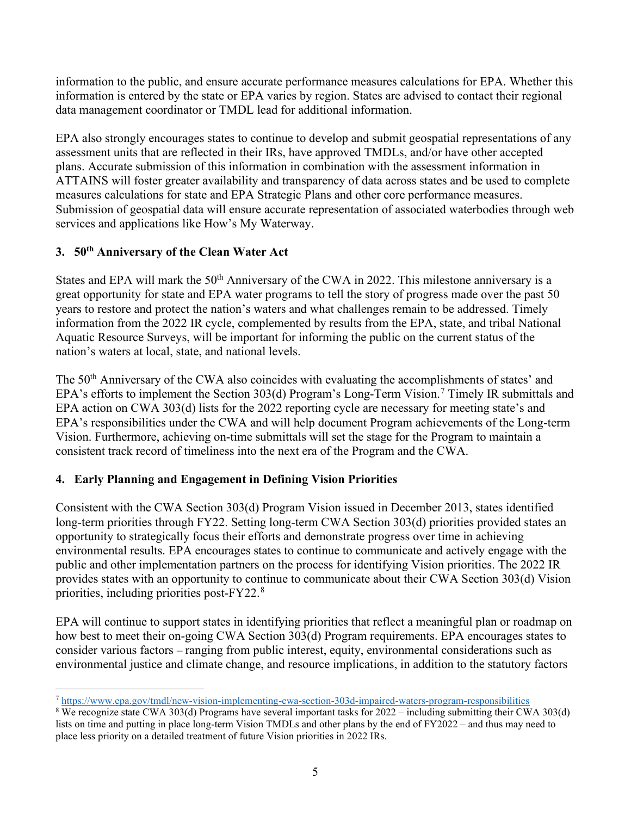information to the public, and ensure accurate performance measures calculations for EPA. Whether this information is entered by the state or EPA varies by region. States are advised to contact their regional data management coordinator or TMDL lead for additional information.

EPA also strongly encourages states to continue to develop and submit geospatial representations of any assessment units that are reflected in their IRs, have approved TMDLs, and/or have other accepted plans. Accurate submission of this information in combination with the assessment information in ATTAINS will foster greater availability and transparency of data across states and be used to complete measures calculations for state and EPA Strategic Plans and other core performance measures. Submission of geospatial data will ensure accurate representation of associated waterbodies through web services and applications like How's My Waterway.

### **3. 50th Anniversary of the Clean Water Act**

States and EPA will mark the 50<sup>th</sup> Anniversary of the CWA in 2022. This milestone anniversary is a great opportunity for state and EPA water programs to tell the story of progress made over the past 50 years to restore and protect the nation's waters and what challenges remain to be addressed. Timely information from the 2022 IR cycle, complemented by results from the EPA, state, and tribal National Aquatic Resource Surveys, will be important for informing the public on the current status of the nation's waters at local, state, and national levels.

The 50<sup>th</sup> Anniversary of the CWA also coincides with evaluating the accomplishments of states' and EPA's efforts to implement the Section 303(d) Program's Long-Term Vision.<sup>[7](#page-6-0)</sup> Timely IR submittals and EPA action on CWA 303(d) lists for the 2022 reporting cycle are necessary for meeting state's and EPA's responsibilities under the CWA and will help document Program achievements of the Long-term Vision. Furthermore, achieving on-time submittals will set the stage for the Program to maintain a consistent track record of timeliness into the next era of the Program and the CWA.

## **4. Early Planning and Engagement in Defining Vision Priorities**

Consistent with the CWA Section 303(d) Program Vision issued in December 2013, states identified long-term priorities through FY22. Setting long-term CWA Section 303(d) priorities provided states an opportunity to strategically focus their efforts and demonstrate progress over time in achieving environmental results. EPA encourages states to continue to communicate and actively engage with the public and other implementation partners on the process for identifying Vision priorities. The 2022 IR provides states with an opportunity to continue to communicate about their CWA Section 303(d) Vision priorities, including priorities post-FY22. $^8$  $^8$ 

EPA will continue to support states in identifying priorities that reflect a meaningful plan or roadmap on how best to meet their on-going CWA Section 303(d) Program requirements. EPA encourages states to consider various factors – ranging from public interest, equity, environmental considerations such as environmental justice and climate change, and resource implications, in addition to the statutory factors

<span id="page-6-0"></span><sup>7</sup> <https://www.epa.gov/tmdl/new-vision-implementing-cwa-section-303d-impaired-waters-program-responsibilities>

<span id="page-6-1"></span><sup>8</sup> We recognize state CWA 303(d) Programs have several important tasks for 2022 – including submitting their CWA 303(d) lists on time and putting in place long-term Vision TMDLs and other plans by the end of FY2022 – and thus may need to place less priority on a detailed treatment of future Vision priorities in 2022 IRs.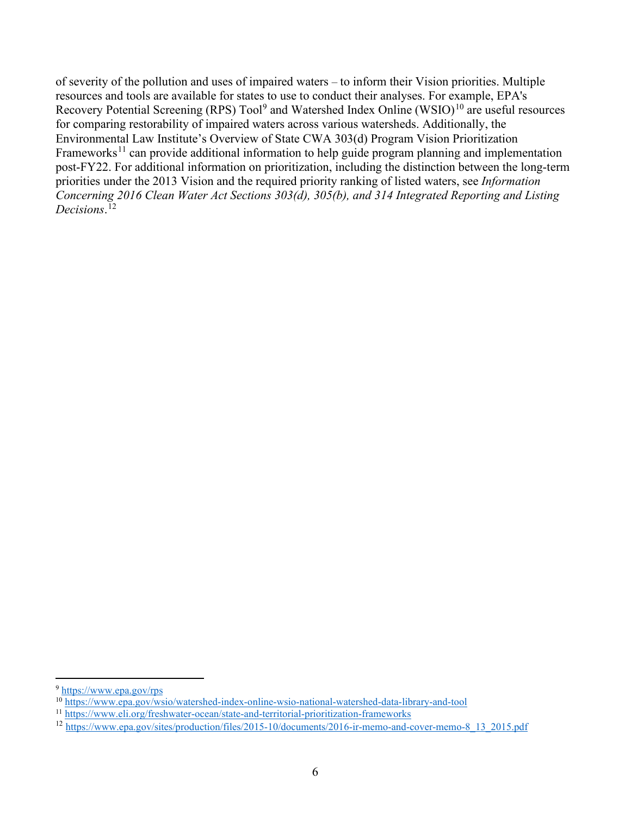of severity of the pollution and uses of impaired waters – to inform their Vision priorities. Multiple resources and tools are available for states to use to conduct their analyses. For example, EPA's Recovery Potential Screening (RPS)  $Tool<sup>9</sup>$  $Tool<sup>9</sup>$  $Tool<sup>9</sup>$  and Watershed Index Online (WSIO)<sup>[10](#page-7-1)</sup> are useful resources for comparing restorability of impaired waters across various watersheds. Additionally, the Environmental Law Institute's Overview of State CWA 303(d) Program Vision Prioritization Frameworks<sup>[11](#page-7-2)</sup> can provide additional information to help guide program planning and implementation post-FY22. For additional information on prioritization, including the distinction between the long-term priorities under the 2013 Vision and the required priority ranking of listed waters, see *Information Concerning 2016 Clean Water Act Sections 303(d), 305(b), and 314 Integrated Reporting and Listing Decisions*. [12](#page-7-3)

<span id="page-7-0"></span><sup>9</sup> <https://www.epa.gov/rps>

<span id="page-7-1"></span><sup>&</sup>lt;sup>10</sup> <https://www.epa.gov/wsio/watershed-index-online-wsio-national-watershed-data-library-and-tool>

<span id="page-7-2"></span><sup>11</sup> https://www.eli.org/freshwater-ocean/state-and-territorial-prioritization-frameworks

<span id="page-7-3"></span><sup>&</sup>lt;sup>12</sup> [https://www.epa.gov/sites/production/files/2015-10/documents/2016-ir-memo-and-cover-memo-8\\_13\\_2015.pdf](https://www.epa.gov/sites/production/files/2015-10/documents/2016-ir-memo-and-cover-memo-8_13_2015.pdf)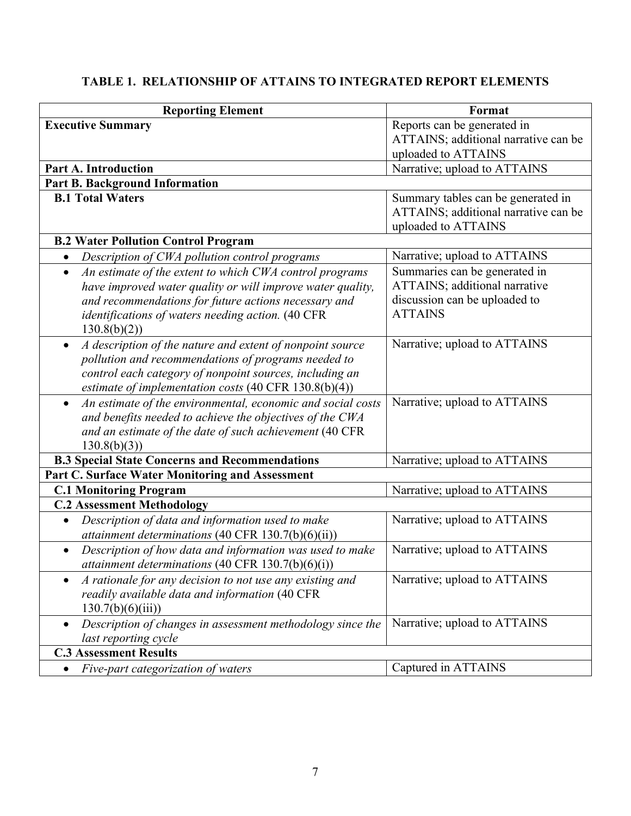# **TABLE 1. RELATIONSHIP OF ATTAINS TO INTEGRATED REPORT ELEMENTS**

| <b>Reporting Element</b>                                                 | Format                               |  |
|--------------------------------------------------------------------------|--------------------------------------|--|
| <b>Executive Summary</b>                                                 | Reports can be generated in          |  |
|                                                                          | ATTAINS; additional narrative can be |  |
|                                                                          | uploaded to ATTAINS                  |  |
| <b>Part A. Introduction</b>                                              | Narrative; upload to ATTAINS         |  |
| <b>Part B. Background Information</b>                                    |                                      |  |
| <b>B.1 Total Waters</b>                                                  | Summary tables can be generated in   |  |
|                                                                          | ATTAINS; additional narrative can be |  |
|                                                                          | uploaded to ATTAINS                  |  |
| <b>B.2 Water Pollution Control Program</b>                               |                                      |  |
| Description of CWA pollution control programs<br>$\bullet$               | Narrative; upload to ATTAINS         |  |
| An estimate of the extent to which CWA control programs<br>$\bullet$     | Summaries can be generated in        |  |
| have improved water quality or will improve water quality,               | ATTAINS; additional narrative        |  |
| and recommendations for future actions necessary and                     | discussion can be uploaded to        |  |
| identifications of waters needing action. (40 CFR                        | <b>ATTAINS</b>                       |  |
| 130.8(b)(2)                                                              |                                      |  |
| A description of the nature and extent of nonpoint source                | Narrative; upload to ATTAINS         |  |
| pollution and recommendations of programs needed to                      |                                      |  |
| control each category of nonpoint sources, including an                  |                                      |  |
| estimate of implementation costs $(40 \text{ CFR } 130.8(b)(4))$         |                                      |  |
| An estimate of the environmental, economic and social costs<br>$\bullet$ | Narrative; upload to ATTAINS         |  |
| and benefits needed to achieve the objectives of the CWA                 |                                      |  |
| and an estimate of the date of such achievement (40 CFR                  |                                      |  |
| 130.8(b)(3)                                                              |                                      |  |
| <b>B.3 Special State Concerns and Recommendations</b>                    | Narrative; upload to ATTAINS         |  |
| Part C. Surface Water Monitoring and Assessment                          |                                      |  |
| <b>C.1 Monitoring Program</b>                                            | Narrative; upload to ATTAINS         |  |
| <b>C.2 Assessment Methodology</b>                                        |                                      |  |
| Description of data and information used to make<br>$\bullet$            | Narrative; upload to ATTAINS         |  |
| attainment determinations (40 CFR $130.7(b)(6)(ii)$ )                    |                                      |  |
| Description of how data and information was used to make<br>$\bullet$    | Narrative; upload to ATTAINS         |  |
| attainment determinations (40 CFR 130.7(b)(6)(i))                        |                                      |  |
| A rationale for any decision to not use any existing and                 | Narrative; upload to ATTAINS         |  |
| readily available data and information (40 CFR                           |                                      |  |
| 130.7(b)(6)(iii)                                                         |                                      |  |
| Description of changes in assessment methodology since the               | Narrative; upload to ATTAINS         |  |
| last reporting cycle                                                     |                                      |  |
| <b>C.3 Assessment Results</b>                                            |                                      |  |
| Five-part categorization of waters                                       | Captured in ATTAINS                  |  |